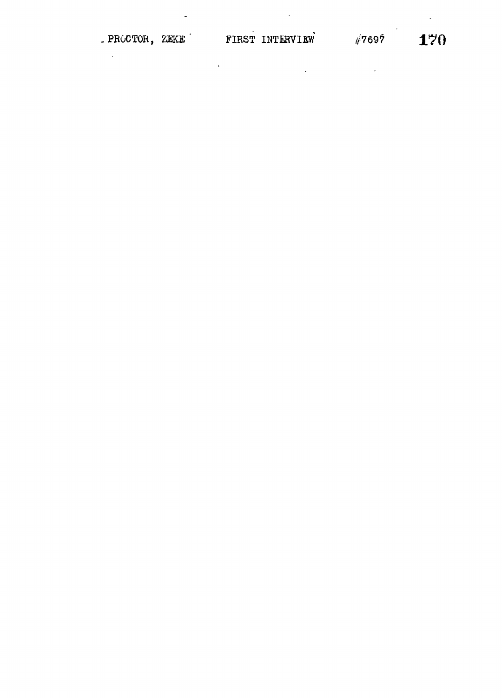## PROCTOR, ZEKE FIRST INTERVIEW #7697 170

 $\sim$ 

 $\ddot{\phantom{1}}$ 

 $\sim$   $\sim$ 

 $\label{eq:2.1} \frac{1}{2} \int_{\mathbb{R}^3} \left| \frac{d\mu}{d\mu} \right|^2 \, d\mu = \frac{1}{2} \int_{\mathbb{R}^3} \left| \frac{d\mu}{d\mu} \right|^2 \, d\mu = \frac{1}{2} \int_{\mathbb{R}^3} \left| \frac{d\mu}{d\mu} \right|^2 \, d\mu = \frac{1}{2} \int_{\mathbb{R}^3} \left| \frac{d\mu}{d\mu} \right|^2 \, d\mu = \frac{1}{2} \int_{\mathbb{R}^3} \left| \frac{d\mu}{d\mu} \right|^2 \,$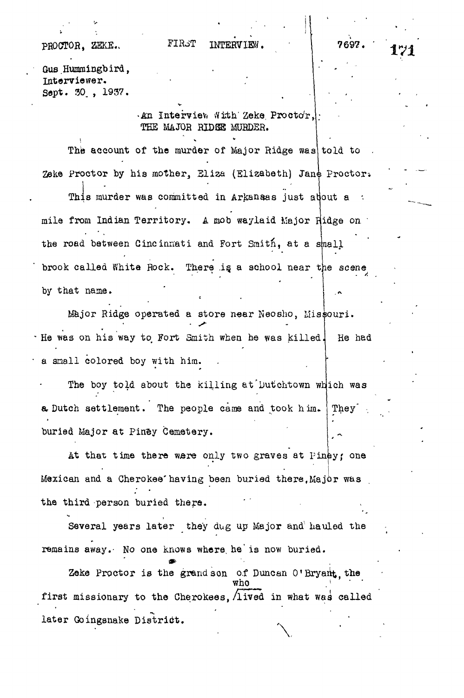## PROCTOR. ZEKE.

## FIRST INTERVIEW.

*171*

**11**

Gus Hummingbird, Interviewer. Sept. 30. , 1937.

> *An.* Interview With Zeke Proctor, THE MAJOR RIDGE MURDER.

The account of the murder of Major Ridge was told to Zeke Proctor by his mother, Eliza (Elizabeth) Jane Proctor.

This murder was committed in Arkansas just about a • mile from Indian Territory. A mob waylaid Major flidge on • the road between Cincinnati and Fort Smith, at a small brook called White Rock. There is a school near the scene by that name.

Major Ridge operated a store near Neosho, Missouri. He was on his way to Fort Smith when he was killed. a snail colored boy with him. He had

The boy told about the killing at Dutchtown which was a Dutch settlement. The people came and took him. They<sup>-</sup> buried Major at Piney Cemetery.

At that time there were only two graves at Piney; one i Mexican and a Cherokee having been buried there, Major was the third person buried there.

Several years later they dug up Major and' hauled the remains away.- No one knows where, he'is now buried.

*m* Zeke Proctor is the grandson o.f Duncan 0'Bryant, the who<br>first missionary to the Cherokees, lived in what was called  $\overline{\phantom{a}}$ first missionary to the Cherokees,  $\mathcal{L}_{\text{max}}$  is the Cherokees,  $\mathcal{L}_{\text{max}}$ 

late r Goingsnake District .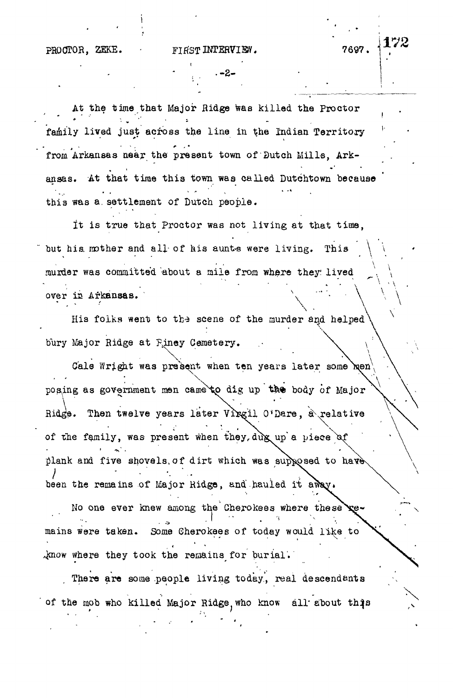**.-2 -**

At the time that Major Ridge was killed the Proctor family lived just across the line in the Indian Territory from Arkansas near the present town of Dutch Mills, Arkansas. At that time this town was called Dutchtown because > . • - . • • \* this was a settlement of Dutch people.

It is true that Proctor was not living at that time, but his mother and all of his aunts were living. This murder was committed about a mile from where they; lived over is Arkansas. \

His folks went to the scene of the murder and helped bury Major Ridge at Finey Cemetery.

Gale Wright was present when ten years later some  $\text{N}$ en posing as government men came to dig up the body of Major Ridge. Then twelve years later Virgil O'Dare, a relative of the family, was present when they, dug up a piece of plank and five shovels, of dirt which was supposed to have been the remains of Major Ridge, and hauled it away.

No one ever knew among the Cherokees where these remains were taken. Some Cherokees of today would like to Amow where they took the remains for burial.

There are some people living today, real descendants of the mob who killed Major Ridge, who know all about this

» • /

172